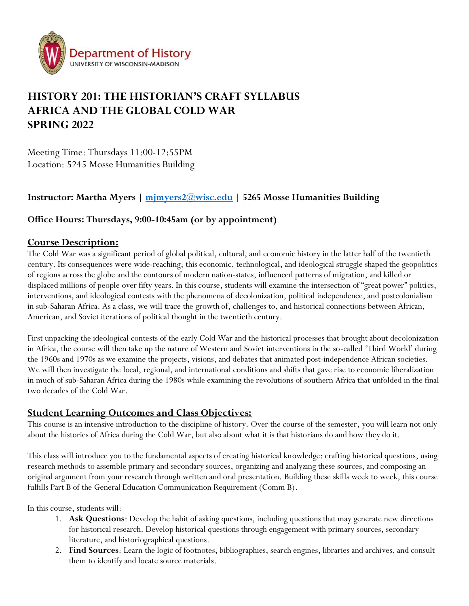

# **HISTORY 201: THE HISTORIAN'S CRAFT SYLLABUS AFRICA AND THE GLOBAL COLD WAR SPRING 2022**

Meeting Time: Thursdays 11:00-12:55PM Location: 5245 Mosse Humanities Building

# **Instructor: Martha Myers | [mjmyers2@wisc.edu](mailto:mjmyers2@wisc.edu) | 5265 Mosse Humanities Building**

### **Office Hours: Thursdays, 9:00-10:45am (or by appointment)**

### **Course Description:**

The Cold War was a significant period of global political, cultural, and economic history in the latter half of the twentieth century. Its consequences were wide-reaching; this economic, technological, and ideological struggle shaped the geopolitics of regions across the globe and the contours of modern nation-states, influenced patterns of migration, and killed or displaced millions of people over fifty years. In this course, students will examine the intersection of "great power" politics, interventions, and ideological contests with the phenomena of decolonization, political independence, and postcolonialism in sub-Saharan Africa. As a class, we will trace the growth of, challenges to, and historical connections between African, American, and Soviet iterations of political thought in the twentieth century.

First unpacking the ideological contests of the early Cold War and the historical processes that brought about decolonization in Africa, the course will then take up the nature of Western and Soviet interventions in the so-called 'Third World' during the 1960s and 1970s as we examine the projects, visions, and debates that animated post-independence African societies. We will then investigate the local, regional, and international conditions and shifts that gave rise to economic liberalization in much of sub-Saharan Africa during the 1980s while examining the revolutions of southern Africa that unfolded in the final two decades of the Cold War.

## **Student Learning Outcomes and Class Objectives:**

This course is an intensive introduction to the discipline of history. Over the course of the semester, you will learn not only about the histories of Africa during the Cold War, but also about what it is that historians do and how they do it.

This class will introduce you to the fundamental aspects of creating historical knowledge: crafting historical questions, using research methods to assemble primary and secondary sources, organizing and analyzing these sources, and composing an original argument from your research through written and oral presentation. Building these skills week to week, this course fulfills Part B of the General Education Communication Requirement (Comm B).

In this course, students will:

- 1. **Ask Questions**: Develop the habit of asking questions, including questions that may generate new directions for historical research. Develop historical questions through engagement with primary sources, secondary literature, and historiographical questions.
- 2. **Find Sources**: Learn the logic of footnotes, bibliographies, search engines, libraries and archives, and consult them to identify and locate source materials.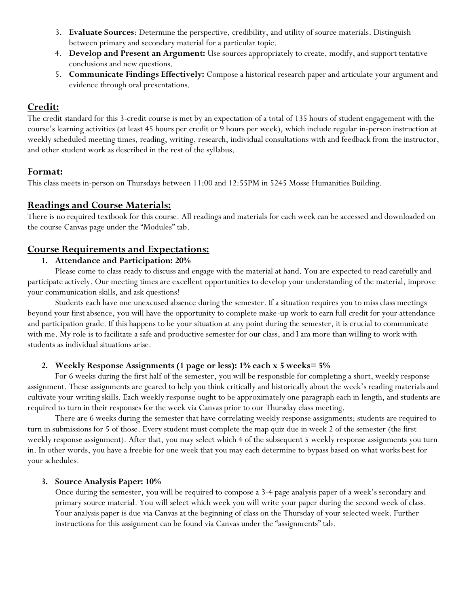- 3. **Evaluate Sources**: Determine the perspective, credibility, and utility of source materials. Distinguish between primary and secondary material for a particular topic.
- 4. **Develop and Present an Argument:** Use sources appropriately to create, modify, and support tentative conclusions and new questions.
- 5. **Communicate Findings Effectively:** Compose a historical research paper and articulate your argument and evidence through oral presentations.

### **Credit:**

The credit standard for this 3-credit course is met by an expectation of a total of 135 hours of student engagement with the course's learning activities (at least 45 hours per credit or 9 hours per week), which include regular in-person instruction at weekly scheduled meeting times, reading, writing, research, individual consultations with and feedback from the instructor, and other student work as described in the rest of the syllabus.

# **Format:**

This class meets in-person on Thursdays between 11:00 and 12:55PM in 5245 Mosse Humanities Building.

# **Readings and Course Materials:**

There is no required textbook for this course. All readings and materials for each week can be accessed and downloaded on the course Canvas page under the "Modules" tab.

# **Course Requirements and Expectations:**

### **1. Attendance and Participation: 20%**

Please come to class ready to discuss and engage with the material at hand. You are expected to read carefully and participate actively. Our meeting times are excellent opportunities to develop your understanding of the material, improve your communication skills, and ask questions!

Students each have one unexcused absence during the semester. If a situation requires you to miss class meetings beyond your first absence, you will have the opportunity to complete make-up work to earn full credit for your attendance and participation grade. If this happens to be your situation at any point during the semester, it is crucial to communicate with me. My role is to facilitate a safe and productive semester for our class, and I am more than willing to work with students as individual situations arise.

### **2. Weekly Response Assignments (1 page or less): 1% each x 5 weeks= 5%**

For 6 weeks during the first half of the semester, you will be responsible for completing a short, weekly response assignment. These assignments are geared to help you think critically and historically about the week's reading materials and cultivate your writing skills. Each weekly response ought to be approximately one paragraph each in length, and students are required to turn in their responses for the week via Canvas prior to our Thursday class meeting.

There are 6 weeks during the semester that have correlating weekly response assignments; students are required to turn in submissions for 5 of those. Every student must complete the map quiz due in week 2 of the semester (the first weekly response assignment). After that, you may select which 4 of the subsequent 5 weekly response assignments you turn in. In other words, you have a freebie for one week that you may each determine to bypass based on what works best for your schedules.

### **3. Source Analysis Paper: 10%**

Once during the semester, you will be required to compose a 3-4 page analysis paper of a week's secondary and primary source material. You will select which week you will write your paper during the second week of class. Your analysis paper is due via Canvas at the beginning of class on the Thursday of your selected week. Further instructions for this assignment can be found via Canvas under the "assignments" tab.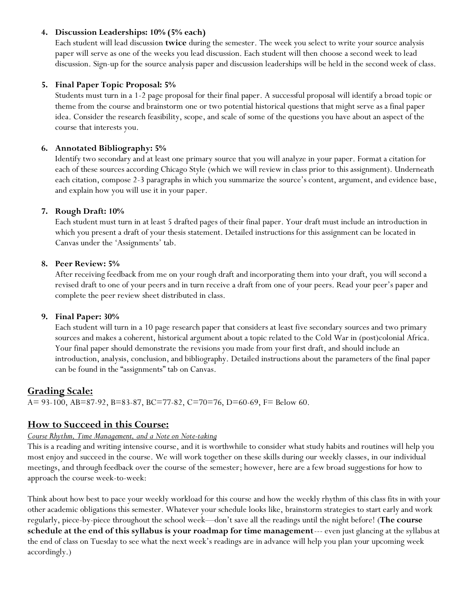### **4. Discussion Leaderships: 10% (5% each)**

Each student will lead discussion **twice** during the semester. The week you select to write your source analysis paper will serve as one of the weeks you lead discussion. Each student will then choose a second week to lead discussion. Sign-up for the source analysis paper and discussion leaderships will be held in the second week of class.

#### **5. Final Paper Topic Proposal: 5%**

Students must turn in a 1-2 page proposal for their final paper. A successful proposal will identify a broad topic or theme from the course and brainstorm one or two potential historical questions that might serve as a final paper idea. Consider the research feasibility, scope, and scale of some of the questions you have about an aspect of the course that interests you.

#### **6. Annotated Bibliography: 5%**

Identify two secondary and at least one primary source that you will analyze in your paper. Format a citation for each of these sources according Chicago Style (which we will review in class prior to this assignment). Underneath each citation, compose 2-3 paragraphs in which you summarize the source's content, argument, and evidence base, and explain how you will use it in your paper.

#### **7. Rough Draft: 10%**

Each student must turn in at least 5 drafted pages of their final paper. Your draft must include an introduction in which you present a draft of your thesis statement. Detailed instructions for this assignment can be located in Canvas under the 'Assignments' tab.

#### **8. Peer Review: 5%**

After receiving feedback from me on your rough draft and incorporating them into your draft, you will second a revised draft to one of your peers and in turn receive a draft from one of your peers. Read your peer's paper and complete the peer review sheet distributed in class.

#### **9. Final Paper: 30%**

Each student will turn in a 10 page research paper that considers at least five secondary sources and two primary sources and makes a coherent, historical argument about a topic related to the Cold War in (post)colonial Africa. Your final paper should demonstrate the revisions you made from your first draft, and should include an introduction, analysis, conclusion, and bibliography. Detailed instructions about the parameters of the final paper can be found in the "assignments" tab on Canvas.

### **Grading Scale:**

A= 93-100, AB=87-92, B=83-87, BC=77-82, C=70=76, D=60-69, F= Below 60.

### **How to Succeed in this Course:**

#### *Course Rhythm, Time Management, and a Note on Note-taking*

This is a reading and writing intensive course, and it is worthwhile to consider what study habits and routines will help you most enjoy and succeed in the course. We will work together on these skills during our weekly classes, in our individual meetings, and through feedback over the course of the semester; however, here are a few broad suggestions for how to approach the course week-to-week:

Think about how best to pace your weekly workload for this course and how the weekly rhythm of this class fits in with your other academic obligations this semester. Whatever your schedule looks like, brainstorm strategies to start early and work regularly, piece-by-piece throughout the school week—don't save all the readings until the night before! (**The course schedule at the end of this syllabus is your roadmap for time management**--- even just glancing at the syllabus at the end of class on Tuesday to see what the next week's readings are in advance will help you plan your upcoming week accordingly.)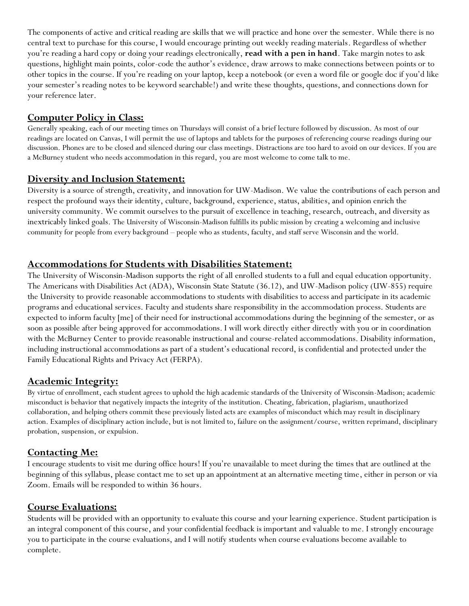The components of active and critical reading are skills that we will practice and hone over the semester. While there is no central text to purchase for this course, I would encourage printing out weekly reading materials. Regardless of whether you're reading a hard copy or doing your readings electronically, **read with a pen in hand**. Take margin notes to ask questions, highlight main points, color-code the author's evidence, draw arrows to make connections between points or to other topics in the course. If you're reading on your laptop, keep a notebook (or even a word file or google doc if you'd like your semester's reading notes to be keyword searchable!) and write these thoughts, questions, and connections down for your reference later.

# **Computer Policy in Class:**

Generally speaking, each of our meeting times on Thursdays will consist of a brief lecture followed by discussion. As most of our readings are located on Canvas, I will permit the use of laptops and tablets for the purposes of referencing course readings during our discussion. Phones are to be closed and silenced during our class meetings. Distractions are too hard to avoid on our devices. If you are a McBurney student who needs accommodation in this regard, you are most welcome to come talk to me.

# **Diversity and Inclusion Statement:**

Diversity is a source of strength, creativity, and innovation for UW-Madison. We value the contributions of each person and respect the profound ways their identity, culture, background, experience, status, abilities, and opinion enrich the university community. We commit ourselves to the pursuit of excellence in teaching, research, outreach, and diversity as inextricably linked goals. The University of Wisconsin-Madison fulfills its public mission by creating a welcoming and inclusive community for people from every background – people who as students, faculty, and staff serve Wisconsin and the world.

# **Accommodations for Students with Disabilities Statement:**

The University of Wisconsin-Madison supports the right of all enrolled students to a full and equal education opportunity. The Americans with Disabilities Act (ADA), Wisconsin State Statute (36.12), and UW-Madison policy (UW-855) require the University to provide reasonable accommodations to students with disabilities to access and participate in its academic programs and educational services. Faculty and students share responsibility in the accommodation process. Students are expected to inform faculty [me] of their need for instructional accommodations during the beginning of the semester, or as soon as possible after being approved for accommodations. I will work directly either directly with you or in coordination with the McBurney Center to provide reasonable instructional and course-related accommodations. Disability information, including instructional accommodations as part of a student's educational record, is confidential and protected under the Family Educational Rights and Privacy Act (FERPA).

# **Academic Integrity:**

By virtue of enrollment, each student agrees to uphold the high academic standards of the University of Wisconsin-Madison; academic misconduct is behavior that negatively impacts the integrity of the institution. Cheating, fabrication, plagiarism, unauthorized collaboration, and helping others commit these previously listed acts are examples of misconduct which may result in disciplinary action. Examples of disciplinary action include, but is not limited to, failure on the assignment/course, written reprimand, disciplinary probation, suspension, or expulsion.

# **Contacting Me:**

I encourage students to visit me during office hours! If you're unavailable to meet during the times that are outlined at the beginning of this syllabus, please contact me to set up an appointment at an alternative meeting time, either in person or via Zoom. Emails will be responded to within 36 hours.

# **Course Evaluations:**

Students will be provided with an opportunity to evaluate this course and your learning experience. Student participation is an integral component of this course, and your confidential feedback is important and valuable to me. I strongly encourage you to participate in the course evaluations, and I will notify students when course evaluations become available to complete.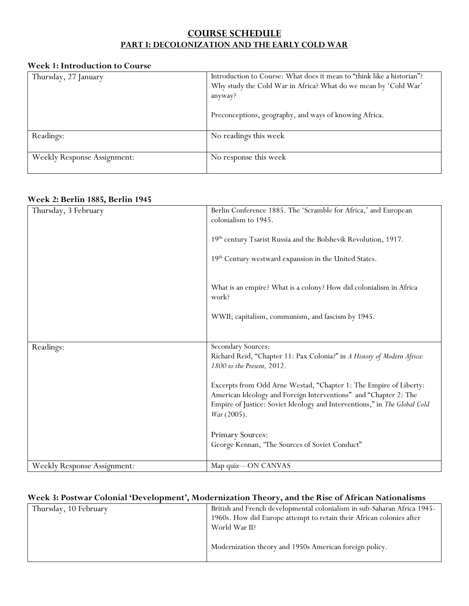# **COURSE SCHEDULE PART I: DECOLONIZATION AND THE EARLY COLD WAR**

### **Week 1: Introduction to Course**

| Thursday, 27 January               | Introduction to Course: What does it mean to "think like a historian"? |
|------------------------------------|------------------------------------------------------------------------|
|                                    | Why study the Cold War in Africa? What do we mean by 'Cold War'        |
|                                    | anyway?                                                                |
|                                    |                                                                        |
|                                    | Preconceptions, geography, and ways of knowing Africa.                 |
|                                    |                                                                        |
| Readings:                          | No readings this week                                                  |
|                                    |                                                                        |
| <b>Weekly Response Assignment:</b> | No response this week                                                  |
|                                    |                                                                        |

#### **Week 2: Berlin 1885, Berlin 1945**

| Thursday, 3 February               | Berlin Conference 1885. The 'Scramble for Africa,' and European<br>colonialism to 1945.               |
|------------------------------------|-------------------------------------------------------------------------------------------------------|
|                                    | 19th century Tsarist Russia and the Bolshevik Revolution, 1917.                                       |
|                                    |                                                                                                       |
|                                    | 19th Century westward expansion in the United States.                                                 |
|                                    | What is an empire? What is a colony? How did colonialism in Africa                                    |
|                                    | work?                                                                                                 |
|                                    | WWII; capitalism, communism, and fascism by 1945.                                                     |
|                                    |                                                                                                       |
| Readings:                          | Secondary Sources:                                                                                    |
|                                    | Richard Reid, "Chapter 11: Pax Colonia?" in A History of Modern Africa:<br>1800 to the Present, 2012. |
|                                    | Excerpts from Odd Arne Westad, "Chapter 1: The Empire of Liberty:                                     |
|                                    | American Ideology and Foreign Interventions" and "Chapter 2: The                                      |
|                                    | Empire of Justice: Soviet Ideology and Interventions," in The Global Cold<br>War (2005).              |
|                                    | Primary Sources:                                                                                      |
|                                    | George Kennan, 'The Sources of Soviet Conduct"                                                        |
| <b>Weekly Response Assignment:</b> | Map quiz-ON CANVAS                                                                                    |

### **Week 3: Postwar Colonial 'Development', Modernization Theory, and the Rise of African Nationalisms**

| Thursday, 10 February | British and French developmental colonialism in sub-Saharan Africa 1945-<br>1960s. How did Europe attempt to retain their African colonies after |
|-----------------------|--------------------------------------------------------------------------------------------------------------------------------------------------|
|                       | World War II?                                                                                                                                    |
|                       | Modernization theory and 1950s American foreign policy.                                                                                          |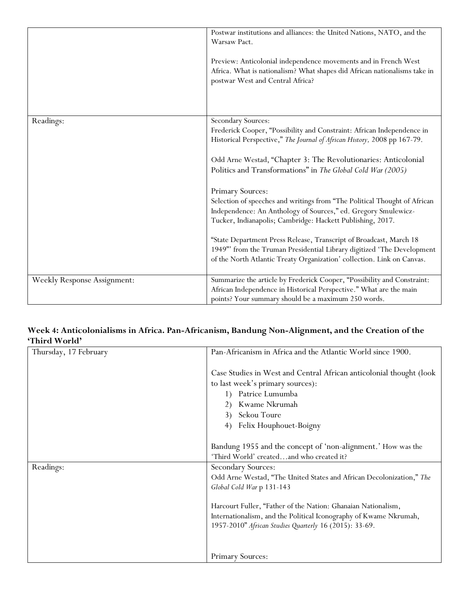|                                    | Postwar institutions and alliances: the United Nations, NATO, and the<br>Warsaw Pact.                                                                                                                                 |
|------------------------------------|-----------------------------------------------------------------------------------------------------------------------------------------------------------------------------------------------------------------------|
|                                    | Preview: Anticolonial independence movements and in French West<br>Africa. What is nationalism? What shapes did African nationalisms take in<br>postwar West and Central Africa?                                      |
| Readings:                          | <b>Secondary Sources:</b>                                                                                                                                                                                             |
|                                    | Frederick Cooper, "Possibility and Constraint: African Independence in<br>Historical Perspective," The Journal of African History, 2008 pp 167-79.                                                                    |
|                                    | Odd Arne Westad, "Chapter 3: The Revolutionaries: Anticolonial                                                                                                                                                        |
|                                    | Politics and Transformations" in The Global Cold War (2005)                                                                                                                                                           |
|                                    | Primary Sources:                                                                                                                                                                                                      |
|                                    | Selection of speeches and writings from "The Political Thought of African<br>Independence: An Anthology of Sources," ed. Gregory Smulewicz-<br>Tucker, Indianapolis; Cambridge: Hackett Publishing, 2017.             |
|                                    | "State Department Press Release, Transcript of Broadcast, March 18<br>1949" from the Truman Presidential Library digitized 'The Development<br>of the North Atlantic Treaty Organization' collection. Link on Canvas. |
| <b>Weekly Response Assignment:</b> | Summarize the article by Frederick Cooper, "Possibility and Constraint:                                                                                                                                               |
|                                    | African Independence in Historical Perspective." What are the main<br>points? Your summary should be a maximum 250 words.                                                                                             |

### **Week 4: Anticolonialisms in Africa. Pan-Africanism, Bandung Non-Alignment, and the Creation of the 'Third World'**

| Thursday, 17 February | Pan-Africanism in Africa and the Atlantic World since 1900.          |
|-----------------------|----------------------------------------------------------------------|
|                       | Case Studies in West and Central African anticolonial thought (look  |
|                       | to last week's primary sources):                                     |
|                       | Patrice Lumumba<br>1)                                                |
|                       | Kwame Nkrumah                                                        |
|                       | Sekou Toure<br>3)                                                    |
|                       | Felix Houphouet-Boigny<br>4)                                         |
|                       |                                                                      |
|                       | Bandung 1955 and the concept of 'non-alignment.' How was the         |
|                       | 'Third World' createdand who created it?                             |
| Readings:             | Secondary Sources:                                                   |
|                       | Odd Arne Westad, "The United States and African Decolonization," The |
|                       | Global Cold War p 131-143                                            |
|                       | Harcourt Fuller, "Father of the Nation: Ghanaian Nationalism,        |
|                       | Internationalism, and the Political Iconography of Kwame Nkrumah,    |
|                       | 1957-2010" African Studies Quarterly 16 (2015): 33-69.               |
|                       |                                                                      |
|                       | Primary Sources:                                                     |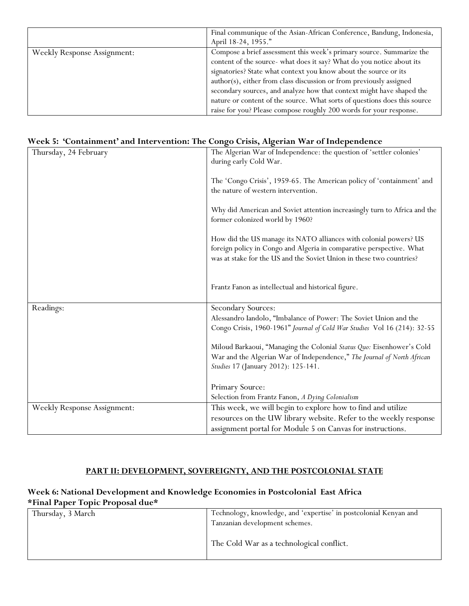|                                    | Final communique of the Asian-African Conference, Bandung, Indonesia,     |
|------------------------------------|---------------------------------------------------------------------------|
|                                    | April 18-24, 1955."                                                       |
| <b>Weekly Response Assignment:</b> | Compose a brief assessment this week's primary source. Summarize the      |
|                                    | content of the source- what does it say? What do you notice about its     |
|                                    | signatories? State what context you know about the source or its          |
|                                    | author(s), either from class discussion or from previously assigned       |
|                                    | secondary sources, and analyze how that context might have shaped the     |
|                                    | nature or content of the source. What sorts of questions does this source |
|                                    | raise for you? Please compose roughly 200 words for your response.        |

### **Week 5: 'Containment' and Intervention: The Congo Crisis, Algerian War of Independence**

| Thursday, 24 February              | The Algerian War of Independence: the question of 'settler colonies'<br>during early Cold War.                                                                                                                    |
|------------------------------------|-------------------------------------------------------------------------------------------------------------------------------------------------------------------------------------------------------------------|
|                                    | The 'Congo Crisis', 1959-65. The American policy of 'containment' and<br>the nature of western intervention.                                                                                                      |
|                                    | Why did American and Soviet attention increasingly turn to Africa and the<br>former colonized world by 1960?                                                                                                      |
|                                    | How did the US manage its NATO alliances with colonial powers? US<br>foreign policy in Congo and Algeria in comparative perspective. What<br>was at stake for the US and the Soviet Union in these two countries? |
|                                    | Frantz Fanon as intellectual and historical figure.                                                                                                                                                               |
| Readings:                          | Secondary Sources:                                                                                                                                                                                                |
|                                    | Alessandro Iandolo, "Imbalance of Power: The Soviet Union and the                                                                                                                                                 |
|                                    | Congo Crisis, 1960-1961" Journal of Cold War Studies Vol 16 (214): 32-55                                                                                                                                          |
|                                    | Miloud Barkaoui, "Managing the Colonial Status Quo: Eisenhower's Cold<br>War and the Algerian War of Independence," The Journal of North African<br>Studies 17 (January 2012): 125-141.                           |
|                                    | Primary Source:                                                                                                                                                                                                   |
|                                    | Selection from Frantz Fanon, A Dying Colonialism                                                                                                                                                                  |
| <b>Weekly Response Assignment:</b> | This week, we will begin to explore how to find and utilize                                                                                                                                                       |
|                                    | resources on the UW library website. Refer to the weekly response                                                                                                                                                 |
|                                    | assignment portal for Module 5 on Canvas for instructions.                                                                                                                                                        |

### **PART II: DEVELOPMENT, SOVEREIGNTY, AND THE POSTCOLONIAL STATE**

### **Week 6: National Development and Knowledge Economies in Postcolonial East Africa \*Final Paper Topic Proposal due\***

| Thursday, 3 March | Technology, knowledge, and 'expertise' in postcolonial Kenyan and<br>Tanzanian development schemes. |
|-------------------|-----------------------------------------------------------------------------------------------------|
|                   | The Cold War as a technological conflict.                                                           |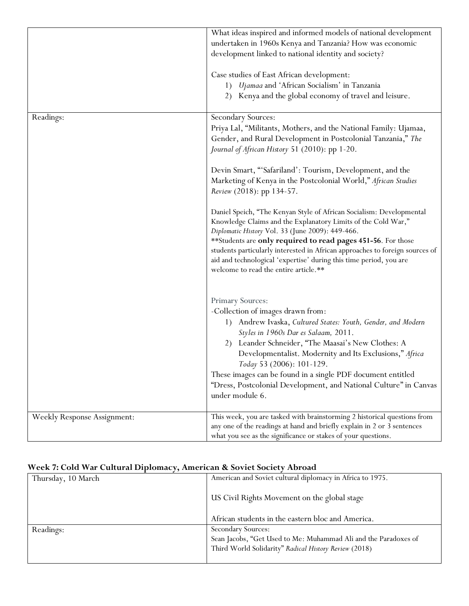|                                    | What ideas inspired and informed models of national development                                                   |
|------------------------------------|-------------------------------------------------------------------------------------------------------------------|
|                                    | undertaken in 1960s Kenya and Tanzania? How was economic                                                          |
|                                    | development linked to national identity and society?                                                              |
|                                    |                                                                                                                   |
|                                    | Case studies of East African development:                                                                         |
|                                    | 1) Ujamaa and 'African Socialism' in Tanzania                                                                     |
|                                    | Kenya and the global economy of travel and leisure.<br>2)                                                         |
|                                    |                                                                                                                   |
| Readings:                          | Secondary Sources:                                                                                                |
|                                    | Priya Lal, "Militants, Mothers, and the National Family: Ujamaa,                                                  |
|                                    | Gender, and Rural Development in Postcolonial Tanzania," The                                                      |
|                                    |                                                                                                                   |
|                                    | Journal of African History 51 (2010): pp 1-20.                                                                    |
|                                    |                                                                                                                   |
|                                    | Devin Smart, "'Safariland': Tourism, Development, and the                                                         |
|                                    | Marketing of Kenya in the Postcolonial World," African Studies                                                    |
|                                    | Review (2018): pp 134-57.                                                                                         |
|                                    |                                                                                                                   |
|                                    | Daniel Speich, "The Kenyan Style of African Socialism: Developmental                                              |
|                                    | Knowledge Claims and the Explanatory Limits of the Cold War,"<br>Diplomatic History Vol. 33 (June 2009): 449-466. |
|                                    | **Students are only required to read pages 451-56. For those                                                      |
|                                    | students particularly interested in African approaches to foreign sources of                                      |
|                                    | aid and technological 'expertise' during this time period, you are                                                |
|                                    | welcome to read the entire article.**                                                                             |
|                                    |                                                                                                                   |
|                                    |                                                                                                                   |
|                                    | Primary Sources:                                                                                                  |
|                                    | -Collection of images drawn from:                                                                                 |
|                                    | Andrew Ivaska, Cultured States: Youth, Gender, and Modern<br>1)                                                   |
|                                    | Styles in 1960s Dar es Salaam, 2011.                                                                              |
|                                    | 2) Leander Schneider, "The Maasai's New Clothes: A                                                                |
|                                    | Developmentalist. Modernity and Its Exclusions," Africa                                                           |
|                                    | Today 53 (2006): 101-129.                                                                                         |
|                                    | These images can be found in a single PDF document entitled                                                       |
|                                    | "Dress, Postcolonial Development, and National Culture" in Canvas                                                 |
|                                    | under module 6.                                                                                                   |
|                                    |                                                                                                                   |
|                                    | This week, you are tasked with brainstorming 2 historical questions from                                          |
| <b>Weekly Response Assignment:</b> | any one of the readings at hand and briefly explain in 2 or 3 sentences                                           |
|                                    | what you see as the significance or stakes of your questions.                                                     |
|                                    |                                                                                                                   |

# **Week 7: Cold War Cultural Diplomacy, American & Soviet Society Abroad**

| Thursday, 10 March | American and Soviet cultural diplomacy in Africa to 1975.       |
|--------------------|-----------------------------------------------------------------|
|                    | US Civil Rights Movement on the global stage                    |
|                    | African students in the eastern bloc and America.               |
| Readings:          | Secondary Sources:                                              |
|                    | Sean Jacobs, "Get Used to Me: Muhammad Ali and the Paradoxes of |
|                    | Third World Solidarity" Radical History Review (2018)           |
|                    |                                                                 |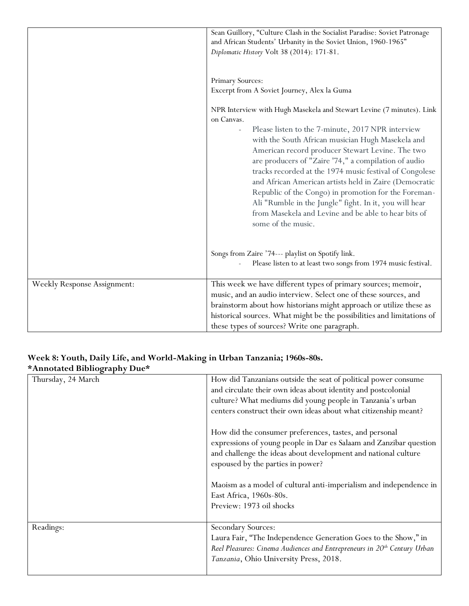|                                    | Sean Guillory, "Culture Clash in the Socialist Paradise: Soviet Patronage<br>and African Students' Urbanity in the Soviet Union, 1960-1965"<br>Diplomatic History Volt 38 (2014): 171-81.                                                                                                                                                                                                                                                                                                                                                                                                                                      |
|------------------------------------|--------------------------------------------------------------------------------------------------------------------------------------------------------------------------------------------------------------------------------------------------------------------------------------------------------------------------------------------------------------------------------------------------------------------------------------------------------------------------------------------------------------------------------------------------------------------------------------------------------------------------------|
|                                    | Primary Sources:<br>Excerpt from A Soviet Journey, Alex la Guma                                                                                                                                                                                                                                                                                                                                                                                                                                                                                                                                                                |
|                                    | NPR Interview with Hugh Masekela and Stewart Levine (7 minutes). Link<br>on Canvas.<br>Please listen to the 7-minute, 2017 NPR interview<br>with the South African musician Hugh Masekela and<br>American record producer Stewart Levine. The two<br>are producers of "Zaire '74," a compilation of audio<br>tracks recorded at the 1974 music festival of Congolese<br>and African American artists held in Zaire (Democratic<br>Republic of the Congo) in promotion for the Foreman-<br>Ali "Rumble in the Jungle" fight. In it, you will hear<br>from Masekela and Levine and be able to hear bits of<br>some of the music. |
|                                    | Songs from Zaire '74--- playlist on Spotify link.<br>Please listen to at least two songs from 1974 music festival.                                                                                                                                                                                                                                                                                                                                                                                                                                                                                                             |
| <b>Weekly Response Assignment:</b> | This week we have different types of primary sources; memoir,<br>music, and an audio interview. Select one of these sources, and<br>brainstorm about how historians might approach or utilize these as<br>historical sources. What might be the possibilities and limitations of<br>these types of sources? Write one paragraph.                                                                                                                                                                                                                                                                                               |

### **Week 8: Youth, Daily Life, and World-Making in Urban Tanzania; 1960s-80s. \*Annotated Bibliography Due\***

| $\frac{1}{2}$      |                                                                                                                                                                                                                                                                  |
|--------------------|------------------------------------------------------------------------------------------------------------------------------------------------------------------------------------------------------------------------------------------------------------------|
| Thursday, 24 March | How did Tanzanians outside the seat of political power consume<br>and circulate their own ideas about identity and postcolonial<br>culture? What mediums did young people in Tanzania's urban<br>centers construct their own ideas about what citizenship meant? |
|                    | How did the consumer preferences, tastes, and personal<br>expressions of young people in Dar es Salaam and Zanzibar question<br>and challenge the ideas about development and national culture<br>espoused by the parties in power?                              |
|                    | Maoism as a model of cultural anti-imperialism and independence in<br>East Africa, 1960s-80s.<br>Preview: 1973 oil shocks                                                                                                                                        |
| Readings:          | Secondary Sources:<br>Laura Fair, "The Independence Generation Goes to the Show," in<br>Reel Pleasures: Cinema Audiences and Entrepreneurs in 20 <sup>th</sup> Century Urban<br>Tanzania, Ohio University Press, 2018.                                           |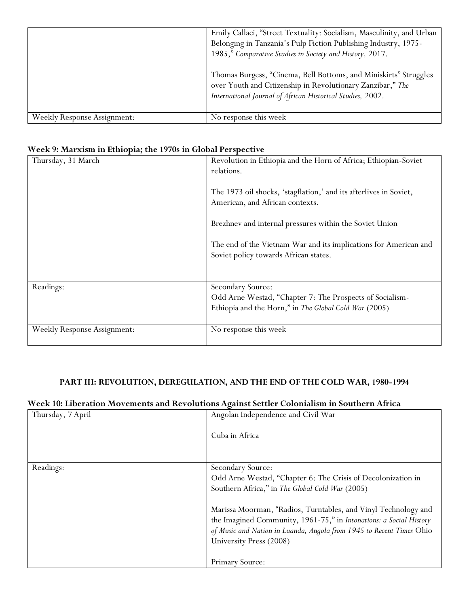|                                    | Emily Callaci, "Street Textuality: Socialism, Masculinity, and Urban<br>Belonging in Tanzania's Pulp Fiction Publishing Industry, 1975-<br>1985," Comparative Studies in Society and History, 2017. |
|------------------------------------|-----------------------------------------------------------------------------------------------------------------------------------------------------------------------------------------------------|
|                                    | Thomas Burgess, "Cinema, Bell Bottoms, and Miniskirts" Struggles<br>over Youth and Citizenship in Revolutionary Zanzibar," The<br>International Journal of African Historical Studies, 2002.        |
| <b>Weekly Response Assignment:</b> | No response this week                                                                                                                                                                               |

### **Week 9: Marxism in Ethiopia; the 1970s in Global Perspective**

| Thursday, 31 March                 | Revolution in Ethiopia and the Horn of Africa; Ethiopian-Soviet<br>relations.<br>The 1973 oil shocks, 'stagflation,' and its afterlives in Soviet,<br>American, and African contexts.<br>Brezhnev and internal pressures within the Soviet Union |
|------------------------------------|--------------------------------------------------------------------------------------------------------------------------------------------------------------------------------------------------------------------------------------------------|
|                                    | The end of the Vietnam War and its implications for American and<br>Soviet policy towards African states.                                                                                                                                        |
| Readings:                          | Secondary Source:<br>Odd Arne Westad, "Chapter 7: The Prospects of Socialism-<br>Ethiopia and the Horn," in The Global Cold War (2005)                                                                                                           |
| <b>Weekly Response Assignment:</b> | No response this week                                                                                                                                                                                                                            |

### **PART III: REVOLUTION, DEREGULATION, AND THE END OF THE COLD WAR, 1980-1994**

#### **Week 10: Liberation Movements and Revolutions Against Settler Colonialism in Southern Africa**

| Thursday, 7 April | Angolan Independence and Civil War                                                                                                                                                                                                                                           |
|-------------------|------------------------------------------------------------------------------------------------------------------------------------------------------------------------------------------------------------------------------------------------------------------------------|
|                   | Cuba in Africa                                                                                                                                                                                                                                                               |
|                   |                                                                                                                                                                                                                                                                              |
| Readings:         | Secondary Source:<br>Odd Arne Westad, "Chapter 6: The Crisis of Decolonization in<br>Southern Africa," in The Global Cold War (2005)<br>Marissa Moorman, "Radios, Turntables, and Vinyl Technology and<br>the Imagined Community, 1961-75," in Intonations: a Social History |
|                   | of Music and Nation in Luanda, Angola from 1945 to Recent Times Ohio<br>University Press (2008)<br>Primary Source:                                                                                                                                                           |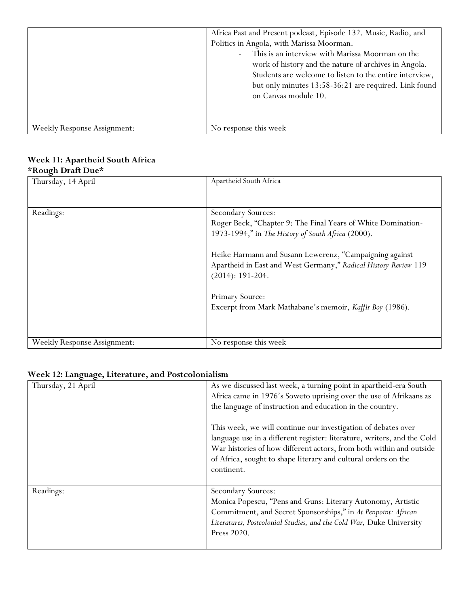|                                    | Africa Past and Present podcast, Episode 132. Music, Radio, and<br>Politics in Angola, with Marissa Moorman.<br>This is an interview with Marissa Moorman on the<br>$\mathbf{r}$<br>work of history and the nature of archives in Angola.<br>Students are welcome to listen to the entire interview,<br>but only minutes 13:58-36:21 are required. Link found<br>on Canvas module 10. |
|------------------------------------|---------------------------------------------------------------------------------------------------------------------------------------------------------------------------------------------------------------------------------------------------------------------------------------------------------------------------------------------------------------------------------------|
| <b>Weekly Response Assignment:</b> | No response this week                                                                                                                                                                                                                                                                                                                                                                 |

### **Week 11: Apartheid South Africa \*Rough Draft Due\***

| nough Drait Dav                    |                                                                 |
|------------------------------------|-----------------------------------------------------------------|
| Thursday, 14 April                 | Apartheid South Africa                                          |
|                                    |                                                                 |
|                                    |                                                                 |
|                                    |                                                                 |
| Readings:                          | Secondary Sources:                                              |
|                                    | Roger Beck, "Chapter 9: The Final Years of White Domination-    |
|                                    | 1973-1994," in The History of South Africa (2000).              |
|                                    | Heike Harmann and Susann Lewerenz, "Campaigning against         |
|                                    | Apartheid in East and West Germany," Radical History Review 119 |
|                                    | $(2014): 191-204.$                                              |
|                                    |                                                                 |
|                                    | Primary Source:                                                 |
|                                    | Excerpt from Mark Mathabane's memoir, Kaffir Boy (1986).        |
|                                    |                                                                 |
|                                    |                                                                 |
|                                    |                                                                 |
| <b>Weekly Response Assignment:</b> | No response this week                                           |

# **Week 12: Language, Literature, and Postcolonialism**

| Thursday, 21 April | As we discussed last week, a turning point in apartheid-era South<br>Africa came in 1976's Soweto uprising over the use of Afrikaans as<br>the language of instruction and education in the country.                                                                                            |
|--------------------|-------------------------------------------------------------------------------------------------------------------------------------------------------------------------------------------------------------------------------------------------------------------------------------------------|
|                    | This week, we will continue our investigation of debates over<br>language use in a different register: literature, writers, and the Cold<br>War histories of how different actors, from both within and outside<br>of Africa, sought to shape literary and cultural orders on the<br>continent. |
| Readings:          | Secondary Sources:<br>Monica Popescu, "Pens and Guns: Literary Autonomy, Artistic<br>Commitment, and Secret Sponsorships," in At Penpoint: African<br>Literatures, Postcolonial Studies, and the Cold War, Duke University<br>Press 2020.                                                       |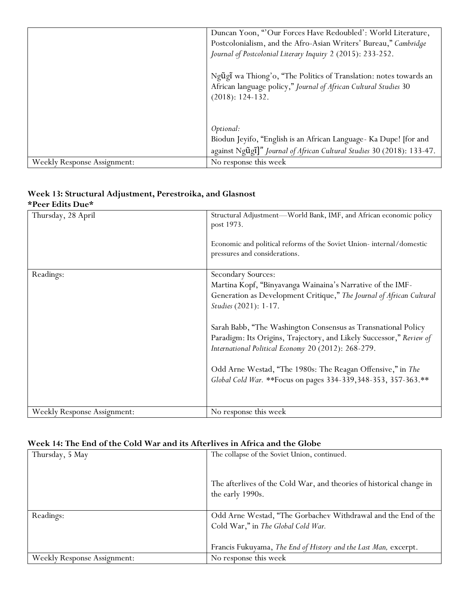|                                    | Duncan Yoon, "Our Forces Have Redoubled': World Literature,                                                                                                 |
|------------------------------------|-------------------------------------------------------------------------------------------------------------------------------------------------------------|
|                                    | Postcolonialism, and the Afro-Asian Writers' Bureau," Cambridge                                                                                             |
|                                    | Journal of Postcolonial Literary Inquiry 2 (2015): 233-252.                                                                                                 |
|                                    | Ngũgĩ wa Thiong'o, "The Politics of Translation: notes towards an<br>African language policy," Journal of African Cultural Studies 30<br>$(2018): 124-132.$ |
|                                    | Optional:                                                                                                                                                   |
|                                    | Biodun Jeyifo, "English is an African Language- Ka Dupe! [for and                                                                                           |
|                                    | against Ngũgĩ]" Journal of African Cultural Studies 30 (2018): 133-47.                                                                                      |
| <b>Weekly Response Assignment:</b> | No response this week                                                                                                                                       |

#### **Week 13: Structural Adjustment, Perestroika, and Glasnost \*Peer Edits Due\***

| Thursday, 28 April                 | Structural Adjustment—World Bank, IMF, and African economic policy<br>post 1973.<br>Economic and political reforms of the Soviet Union-internal/domestic<br>pressures and considerations.                                                                                                                                                                                                                                                                                                                         |
|------------------------------------|-------------------------------------------------------------------------------------------------------------------------------------------------------------------------------------------------------------------------------------------------------------------------------------------------------------------------------------------------------------------------------------------------------------------------------------------------------------------------------------------------------------------|
| Readings:                          | Secondary Sources:<br>Martina Kopf, "Binyavanga Wainaina's Narrative of the IMF-<br>Generation as Development Critique," The Journal of African Cultural<br>Studies (2021): 1-17.<br>Sarah Babb, "The Washington Consensus as Transnational Policy<br>Paradigm: Its Origins, Trajectory, and Likely Successor," Review of<br>International Political Economy 20 (2012): 268-279.<br>Odd Arne Westad, "The 1980s: The Reagan Offensive," in The<br>Global Cold War. ** Focus on pages 334-339, 348-353, 357-363.** |
| <b>Weekly Response Assignment:</b> | No response this week                                                                                                                                                                                                                                                                                                                                                                                                                                                                                             |

# **Week 14: The End of the Cold War and its Afterlives in Africa and the Globe**

| Thursday, 5 May                    | The collapse of the Soviet Union, continued.                                             |
|------------------------------------|------------------------------------------------------------------------------------------|
|                                    | The afterlives of the Cold War, and theories of historical change in<br>the early 1990s. |
|                                    |                                                                                          |
| Readings:                          | Odd Arne Westad, "The Gorbachev Withdrawal and the End of the                            |
|                                    | Cold War," in The Global Cold War.                                                       |
|                                    |                                                                                          |
|                                    | Francis Fukuyama, The End of History and the Last Man, excerpt.                          |
| <b>Weekly Response Assignment:</b> | No response this week                                                                    |